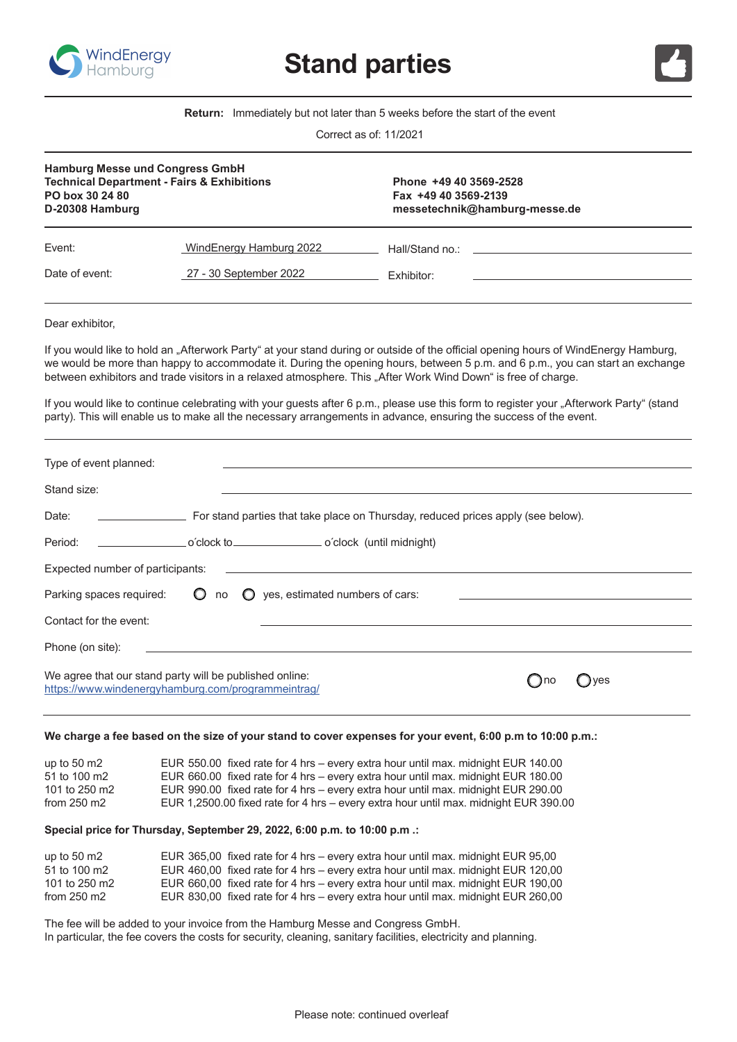

**Stand parties**



**Return:** Immediately but not later than 5 weeks before the start of the event

| Correct as of: 11/2021 |  |  |  |  |
|------------------------|--|--|--|--|
|------------------------|--|--|--|--|

| <b>Hamburg Messe und Congress GmbH</b><br><b>Technical Department - Fairs &amp; Exhibitions</b><br>PO box 30 24 80<br>D-20308 Hamburg |                                                   | Phone +49 40 3569-2528<br>Fax +49 40 3569-2139<br>messetechnik@hamburg-messe.de |  |  |
|---------------------------------------------------------------------------------------------------------------------------------------|---------------------------------------------------|---------------------------------------------------------------------------------|--|--|
| Event:<br>Date of event:                                                                                                              | WindEnergy Hamburg 2022<br>27 - 30 September 2022 | Hall/Stand no.:<br><b>Exhibitor:</b>                                            |  |  |
|                                                                                                                                       |                                                   |                                                                                 |  |  |

Dear exhibitor,

If you would like to hold an "Afterwork Party" at your stand during or outside of the official opening hours of WindEnergy Hamburg, we would be more than happy to accommodate it. During the opening hours, between 5 p.m. and 6 p.m., you can start an exchange between exhibitors and trade visitors in a relaxed atmosphere. This "After Work Wind Down" is free of charge.

If you would like to continue celebrating with your guests after 6 p.m., please use this form to register your "Afterwork Party" (stand party). This will enable us to make all the necessary arrangements in advance, ensuring the success of the event.

| Type of event planned:                                                                                                        |                                                                                  |  |     |  |
|-------------------------------------------------------------------------------------------------------------------------------|----------------------------------------------------------------------------------|--|-----|--|
| Stand size:                                                                                                                   |                                                                                  |  |     |  |
| Date:                                                                                                                         | For stand parties that take place on Thursday, reduced prices apply (see below). |  |     |  |
| Period:                                                                                                                       | o'clock (until midnight)                                                         |  |     |  |
| Expected number of participants:<br>the control of the control of the control of the control of the control of the control of |                                                                                  |  |     |  |
| Parking spaces required:<br>$\circ$                                                                                           | $\bigcirc$ yes, estimated numbers of cars:<br>no                                 |  |     |  |
| Contact for the event:                                                                                                        |                                                                                  |  |     |  |
| Phone (on site):                                                                                                              |                                                                                  |  |     |  |
| We agree that our stand party will be published online:<br>https://www.windenergyhamburg.com/programmeintrag/                 |                                                                                  |  | ves |  |

## **We charge a fee based on the size of your stand to cover expenses for your event, 6:00 p.m to 10:00 p.m.:**

| up to $50 \text{ m}2$ | EUR 550.00 fixed rate for 4 hrs - every extra hour until max. midnight EUR 140.00    |
|-----------------------|--------------------------------------------------------------------------------------|
| 51 to 100 m2          | EUR 660.00 fixed rate for 4 hrs – every extra hour until max. midnight EUR 180.00    |
| 101 to 250 m2         | EUR 990.00 fixed rate for 4 hrs – every extra hour until max. midnight EUR 290.00    |
| from $250 \text{ m}2$ | EUR 1,2500.00 fixed rate for 4 hrs – every extra hour until max. midnight EUR 390.00 |

## **Special price for Thursday, September 29, 2022, 6:00 p.m. to 10:00 p.m .:**

| up to $50 \text{ m2}$ | EUR 365,00 fixed rate for 4 hrs – every extra hour until max. midnight EUR 95,00  |
|-----------------------|-----------------------------------------------------------------------------------|
| 51 to 100 m2          | EUR 460,00 fixed rate for 4 hrs – every extra hour until max. midnight EUR 120,00 |
| 101 to 250 m2         | EUR 660,00 fixed rate for 4 hrs – every extra hour until max. midnight EUR 190,00 |
| from $250 \text{ m}2$ | EUR 830,00 fixed rate for 4 hrs – every extra hour until max. midnight EUR 260,00 |

The fee will be added to your invoice from the Hamburg Messe and Congress GmbH. In particular, the fee covers the costs for security, cleaning, sanitary facilities, electricity and planning.